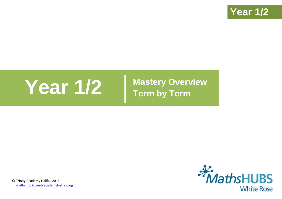

# **Year 1/2 Mastery Overview**

**Term by Term**



© Trinity Academy Halifax 2016 [mathshub@trinityacademyhalifax.org](mailto:mathshub@trinityacademyhalifax.org)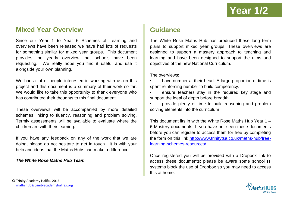### **Mixed Year Overview**

Since our Year 1 to Year 6 Schemes of Learning and overviews have been released we have had lots of requests for something similar for mixed year groups. This document provides the yearly overview that schools have been requesting. We really hope you find it useful and use it alongside your own planning.

We had a lot of people interested in working with us on this project and this document is a summary of their work so far. We would like to take this opportunity to thank everyone who has contributed their thoughts to this final document.

These overviews will be accompanied by more detailed schemes linking to fluency, reasoning and problem solving. Termly assessments will be available to evaluate where the children are with their learning.

If you have any feedback on any of the work that we are doing, please do not hesitate to get in touch. It is with your help and ideas that the Maths Hubs can make a difference.

#### *The White Rose Maths Hub Team*

## **Guidance**

The White Rose Maths Hub has produced these long term plans to support mixed year groups. These overviews are designed to support a mastery approach to teaching and learning and have been designed to support the aims and objectives of the new National Curriculum.

The overviews:

- have number at their heart. A large proportion of time is spent reinforcing number to build competency.
- ensure teachers stay in the required key stage and support the ideal of depth before breadth.
- provide plenty of time to build reasoning and problem solving elements into the curriculum

This document fits in with the White Rose Maths Hub Year 1 – 6 Mastery documents. If you have not seen these documents before you can register to access them for free by completing the form on this link [http://www.trinitytsa.co.uk/maths-hub/free](http://www.trinitytsa.co.uk/maths-hub/free-learning-schemes-resources/)[learning-schemes-resources/](http://www.trinitytsa.co.uk/maths-hub/free-learning-schemes-resources/)

Once registered you will be provided with a Dropbox link to access these documents; please be aware some school IT systems block the use of Dropbox so you may need to access this at home.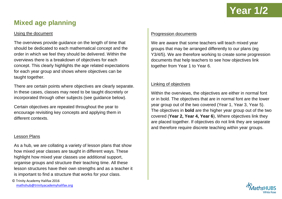## **Mixed age planning**

#### Using the document

The overviews provide guidance on the length of time that should be dedicated to each mathematical concept and the order in which we feel they should be delivered. Within the overviews there is a breakdown of objectives for each concept. This clearly highlights the age related expectations for each year group and shows where objectives can be taught together.

There are certain points where objectives are clearly separate. In these cases, classes may need to be taught discretely or incorporated through other subjects (see guidance below).

Certain objectives are repeated throughout the year to encourage revisiting key concepts and applying them in different contexts.

#### Lesson Plans

As a hub, we are collating a variety of lesson plans that show how mixed year classes are taught in different ways. These highlight how mixed year classes use additional support, organise groups and structure their teaching time. All these lesson structures have their own strengths and as a teacher it is important to find a structure that works for your class.

© Trinity Academy Halifax 2016 [mathshub@trinityacademyhalifax.org](mailto:mathshub@trinityacademyhalifax.org)

#### Progression documents

We are aware that some teachers will teach mixed year groups that may be arranged differently to our plans (eg Y3/4/5). We are therefore working to create some progression documents that help teachers to see how objectives link together from Year 1 to Year 6.

#### Linking of objectives

Within the overviews, the objectives are either in normal font or in bold. The objectives that are in normal font are the lower year group out of the two covered (Year 1, Year 3, Year 5). The objectives in **bold** are the higher year group out of the two covered (**Year 2, Year 4, Year 6**), Where objectives link they are placed together. If objectives do not link they are separate and therefore require discrete teaching within year groups.

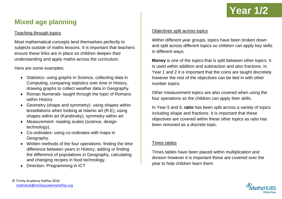

## **Mixed age planning**

#### Teaching through topics

Most mathematical concepts lend themselves perfectly to subjects outside of maths lessons. It is important that teachers ensure these links are in place so children deepen their understanding and apply maths across the curriculum.

Here are some examples:

- Statistics- using graphs in Science, collecting data in Computing, comparing statistics over time in History, drawing graphs to collect weather data in Geography.
- Roman Numerals- taught through the topic of Romans within History
- Geometry (shape and symmetry) using shapes within tessellations when looking at Islamic art (R.E), using shapes within art (Kandinsky), symmetry within art
- Measurement- reading scales (science, design technology),
- Co-ordinates- using co-ordinates with maps in Geography.
- Written methods of the four operations- finding the time difference between years in History, adding or finding the difference of populations in Geography, calculating and changing recipes in food technology.
- Direction- Programming in ICT

#### Objectives split across topics

Within different year groups, topics have been broken down and split across different topics so children can apply key skills in different ways.

**Money** is one of the topics that is split between other topics. It is used within addition and subtraction and also fractions. In Year 1 and 2 it is important that the coins are taught discretely however the rest of the objectives can be tied in with other number topics.

Other measurement topics are also covered when using the four operations so the children can apply their skills.

In Year 5 and 6, **ratio** has been split across a variety of topics including shape and fractions. It is important that these objectives are covered within these other topics as ratio has been removed as a discrete topic.

#### Times tables

Times tables have been placed within multiplication and division however it is important these are covered over the year to help children learn them.

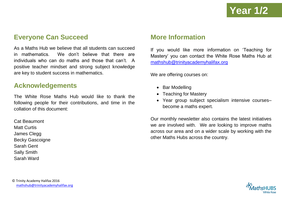## **Everyone Can Succeed**

As a Maths Hub we believe that all students can succeed in mathematics. We don't believe that there are individuals who can do maths and those that can't. A positive teacher mindset and strong subject knowledge are key to student success in mathematics.

### **Acknowledgements**

The White Rose Maths Hub would like to thank the following people for their contributions, and time in the collation of this document:

Cat Beaumont Matt Curtis James Clegg Becky Gascoigne Sarah Gent Sally Smith Sarah Ward

### **More Information**

If you would like more information on 'Teaching for Mastery' you can contact the White Rose Maths Hub at [mathshub@trinityacademyhalifax.org](mailto:mathshub@trinityacademyhalifax.org)

We are offering courses on:

- Bar Modelling
- Teaching for Mastery
- Year group subject specialism intensive courses– become a maths expert.

Our monthly newsletter also contains the latest initiatives we are involved with. We are looking to improve maths across our area and on a wider scale by working with the other Maths Hubs across the country.

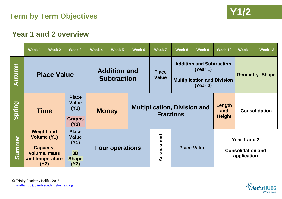

## **Year 1 and 2 overview**

|        | Week 1                                                                                          | Week 2 | Week 3                                                             | Week 4                                    | Week 5 | Week 6 | Week 7                                                  | Week 8             | Week 9                                                                                        | Week 10                        | Week 11                                                 | Week 12 |  |
|--------|-------------------------------------------------------------------------------------------------|--------|--------------------------------------------------------------------|-------------------------------------------|--------|--------|---------------------------------------------------------|--------------------|-----------------------------------------------------------------------------------------------|--------------------------------|---------------------------------------------------------|---------|--|
| Autumn | <b>Place Value</b>                                                                              |        |                                                                    | <b>Addition and</b><br><b>Subtraction</b> |        |        | <b>Place</b><br><b>Value</b>                            |                    | <b>Addition and Subtraction</b><br>(Year 1)<br><b>Multiplication and Division</b><br>(Year 2) |                                | <b>Geometry- Shape</b>                                  |         |  |
| Spring | <b>Time</b>                                                                                     |        | <b>Place</b><br><b>Value</b><br>(Y1)<br><b>Graphs</b><br>(Y2)      | <b>Money</b>                              |        |        | <b>Multiplication, Division and</b><br><b>Fractions</b> |                    |                                                                                               | Length<br>and<br><b>Height</b> | <b>Consolidation</b>                                    |         |  |
| Summer | <b>Weight and</b><br><b>Volume (Y1)</b><br>Capacity,<br>volume, mass<br>and temperature<br>(Y2) |        | <b>Place</b><br><b>Value</b><br>(Y1)<br>3D<br><b>Shape</b><br>(Y2) | <b>Four operations</b>                    |        |        | Assessment                                              | <b>Place Value</b> |                                                                                               |                                | Year 1 and 2<br><b>Consolidation and</b><br>application |         |  |

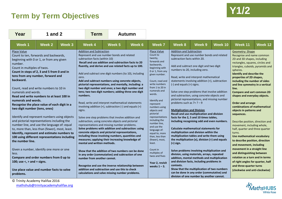## **Y1/2 Term by Term Objectives**



| Year                                                                                                                                                                                      | 1 and $2$                                                                                                                                                                                                                                                                                                                                                                                                                                                                                                                                                                                                                                                                                                                          |        | <b>Term</b><br><b>Autumn</b>                                                                                                                                                                                                                                                                                                                                                                                                                                                                                                                                                                                                                                                                                                                                                                                                                                                                                                                                                                                                                                                                                                                                                                                                                                                                                                       |        |        |                                                                                                                                                                                                                                                                                                                                                                                                                                                                                                                                   |                                                                                                                                                                                                                                      |                                                                                                                                                                                                                                                                                                                                                                                                                                                                                                                                                                                                                                                                                                                                                                                                                                                                                                                      |         |                                                                                                                                                                                                                                                                                                                                                                                                                                                                                                                                                                                                                                                                                                                                                                                                                                                                           |         |  |
|-------------------------------------------------------------------------------------------------------------------------------------------------------------------------------------------|------------------------------------------------------------------------------------------------------------------------------------------------------------------------------------------------------------------------------------------------------------------------------------------------------------------------------------------------------------------------------------------------------------------------------------------------------------------------------------------------------------------------------------------------------------------------------------------------------------------------------------------------------------------------------------------------------------------------------------|--------|------------------------------------------------------------------------------------------------------------------------------------------------------------------------------------------------------------------------------------------------------------------------------------------------------------------------------------------------------------------------------------------------------------------------------------------------------------------------------------------------------------------------------------------------------------------------------------------------------------------------------------------------------------------------------------------------------------------------------------------------------------------------------------------------------------------------------------------------------------------------------------------------------------------------------------------------------------------------------------------------------------------------------------------------------------------------------------------------------------------------------------------------------------------------------------------------------------------------------------------------------------------------------------------------------------------------------------|--------|--------|-----------------------------------------------------------------------------------------------------------------------------------------------------------------------------------------------------------------------------------------------------------------------------------------------------------------------------------------------------------------------------------------------------------------------------------------------------------------------------------------------------------------------------------|--------------------------------------------------------------------------------------------------------------------------------------------------------------------------------------------------------------------------------------|----------------------------------------------------------------------------------------------------------------------------------------------------------------------------------------------------------------------------------------------------------------------------------------------------------------------------------------------------------------------------------------------------------------------------------------------------------------------------------------------------------------------------------------------------------------------------------------------------------------------------------------------------------------------------------------------------------------------------------------------------------------------------------------------------------------------------------------------------------------------------------------------------------------------|---------|---------------------------------------------------------------------------------------------------------------------------------------------------------------------------------------------------------------------------------------------------------------------------------------------------------------------------------------------------------------------------------------------------------------------------------------------------------------------------------------------------------------------------------------------------------------------------------------------------------------------------------------------------------------------------------------------------------------------------------------------------------------------------------------------------------------------------------------------------------------------------|---------|--|
| Week 1                                                                                                                                                                                    | <b>Week 2</b>                                                                                                                                                                                                                                                                                                                                                                                                                                                                                                                                                                                                                                                                                                                      | Week 3 | Week 4                                                                                                                                                                                                                                                                                                                                                                                                                                                                                                                                                                                                                                                                                                                                                                                                                                                                                                                                                                                                                                                                                                                                                                                                                                                                                                                             | Week 5 | Week 6 | <b>Week 7</b>                                                                                                                                                                                                                                                                                                                                                                                                                                                                                                                     | Week 8                                                                                                                                                                                                                               | Week 9                                                                                                                                                                                                                                                                                                                                                                                                                                                                                                                                                                                                                                                                                                                                                                                                                                                                                                               | Week 10 | Week 11                                                                                                                                                                                                                                                                                                                                                                                                                                                                                                                                                                                                                                                                                                                                                                                                                                                                   | Week 12 |  |
| <b>Place Value</b><br>number.<br>Count in multiples of twos.<br>backward.<br>numerals and words.<br>numerals and words.<br>the number line.<br>less.<br>100; use $\lt$ , $>$ and = signs. | Count to ten, forwards and backwards,<br>beginning with 0 or 1, or from any given<br>Count in steps of 2, 3 and 5 from 0 and in<br>tens from any number, forward and<br>Count, read and write numbers to 10 in<br>Read and write numbers to at least 100 in<br>Recognise the place value of each digit in a<br>two digit number (tens, ones)<br>Identify and represent numbers using objects<br>and pictorial representations including the<br>number line, and use the language of: equal<br>to, more than, less than (fewer), most, least.<br>Identify, represent and estimate numbers to<br>100 using different representations including<br>Given a number, identify one more or one<br>Compare and order numbers from 0 up to |        | <b>Addition and Subtraction</b><br>Represent and use number bonds and related<br>subtraction facts (within 10)<br>Recall and use addition and subtraction facts to 20<br>fluently, and derive and use related facts up to 100.<br>Add and subtract one digit numbers (to 10), including<br>zero.<br>Add and subtract numbers using concrete objects,<br>pictorial representations, and mentally, including: a<br>two digit number and ones; a two digit number and<br>tens; two two digit numbers; adding three one digit<br>numbers.<br>Read, write and interpret mathematical statements<br>involving addition $(+)$ , subtraction $(-)$ and equals $(=)$<br>signs.<br>Solve one step problems that involve addition and<br>subtraction, using concrete objects and pictorial<br>representations and missing number problems.<br>Solve problems with addition and subtraction: using<br>concrete objects and pictorial representations,<br>including those involving numbers, quantities and<br>measures; applying their increasing knowledge of<br>mental and written methods.<br>Show that the addition of two numbers can be done<br>in any order (commutative) and subtraction of one<br>number from another cannot.<br>Recognise and use the inverse relationship between<br>addition and subtraction and use this to check |        |        | <b>Place Value</b><br>Count to<br>twenty,<br>forwards and<br>backwards,<br>beginning with<br>0 or 1, from any<br>given number.<br>Count, read and<br>write numbers<br>from 1 to 20 in<br>numerals and<br>words.<br>Identify and<br>represent<br>numbers using<br>objects and<br>pictorial<br>representations<br>including the<br>number line,<br>and use the<br>language of:<br>equal to, more<br>than, less than<br>(fewer), most,<br>least.<br>Count in<br>multiples of<br>twos and fives<br>Year 2, revisit<br>weeks $1 - 3$ . | <b>Addition and Subtraction</b><br>subtraction facts within 20.<br>numbers to 20, including zero.<br>$(-)$ and equals $(=)$ signs.<br>problems such as $7 = ? - 9$<br><b>Multiplication and Division</b><br>$(=)$ sign.<br>contexts. | Represent and use number bonds and related<br>Add and subtract one digit and two digit<br>Read, write and interpret mathematical<br>statements involving addition (+), subtraction<br>Solve one step problems that involve addition<br>and subtraction, using concrete objects and<br>pictorial representations, and missing number<br>Recall and use multiplication and division<br>facts for the 2, 5 and 10 times tables,<br>including recognising odd and even numbers.<br><b>Calculate mathematical statements for</b><br>multiplication and division within the<br>multiplication tables and write them using<br>the multiplication $(x)$ , division $(+)$ and equals<br>Solve problems involving multiplication and<br>division, using materials, arrays, repeated<br>addition, mental methods and multiplication<br>and division facts, including problems in<br>Show that the multiplication of two numbers |         | <b>Geometry: Shape</b><br>Recognise and name common<br>2D and 3D shapes, including<br>rectangles, squares, circles and<br>triangles, cuboids, pyramids and<br>spheres.<br><b>Identify and describe the</b><br>properties of 2D shapes,<br>including the number of sides<br>and line symmetry in a vertical<br>line.<br><b>Compare and sort common 2D</b><br>shapes and everyday objects.<br><b>Order and arrange</b><br>combinations of mathematical<br>objects in patterns and<br>sequences.<br>Describe position, direction and<br>movement, including whole,<br>half, quarter and three quarter<br>turns.<br>Use mathematical vocabulary<br>to describe position, direction<br>and movement, including<br>movement in a straight line<br>and distinguishing between<br>rotation as a turn and in terms<br>of right angles for quarter, half<br>and three-quarter turns |         |  |
| Use place value and number facts to solve<br>problems.                                                                                                                                    |                                                                                                                                                                                                                                                                                                                                                                                                                                                                                                                                                                                                                                                                                                                                    |        | calculations and solve missing number problems.                                                                                                                                                                                                                                                                                                                                                                                                                                                                                                                                                                                                                                                                                                                                                                                                                                                                                                                                                                                                                                                                                                                                                                                                                                                                                    |        |        |                                                                                                                                                                                                                                                                                                                                                                                                                                                                                                                                   | can be done in any order (commutative) and<br>division of one number by another cannot.                                                                                                                                              |                                                                                                                                                                                                                                                                                                                                                                                                                                                                                                                                                                                                                                                                                                                                                                                                                                                                                                                      |         | (clockwise and anti-clockwise)                                                                                                                                                                                                                                                                                                                                                                                                                                                                                                                                                                                                                                                                                                                                                                                                                                            |         |  |

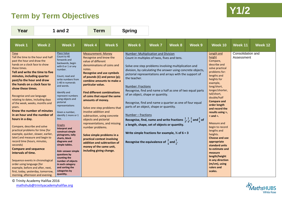## **Y1/2 Term by Term Objectives**



| Year                                                                                                                                                                                                                                                                                                                                                                                                                                                                                                                                                                                                                                                                                                                                                                                                                                                                                                    | 1 and $2$ |                                                                                                                                                                                                                                                                                                                                                                                                                                                                                                                                                                                                        | <b>Term</b>                                                                                                                                                                                                                                                                                                                                                                                |                                                                                                                                                                                                                                                                  | <b>Spring</b>                                                  |                                                                                                                                                                                                                                                                                                                                                                                                                                                                                                                                                                                                                                                                                                                                                                       |        |        |                                                                                                                                                                                                                                                                                                                                                                                                                                                                                                                                    |                                 |         |
|---------------------------------------------------------------------------------------------------------------------------------------------------------------------------------------------------------------------------------------------------------------------------------------------------------------------------------------------------------------------------------------------------------------------------------------------------------------------------------------------------------------------------------------------------------------------------------------------------------------------------------------------------------------------------------------------------------------------------------------------------------------------------------------------------------------------------------------------------------------------------------------------------------|-----------|--------------------------------------------------------------------------------------------------------------------------------------------------------------------------------------------------------------------------------------------------------------------------------------------------------------------------------------------------------------------------------------------------------------------------------------------------------------------------------------------------------------------------------------------------------------------------------------------------------|--------------------------------------------------------------------------------------------------------------------------------------------------------------------------------------------------------------------------------------------------------------------------------------------------------------------------------------------------------------------------------------------|------------------------------------------------------------------------------------------------------------------------------------------------------------------------------------------------------------------------------------------------------------------|----------------------------------------------------------------|-----------------------------------------------------------------------------------------------------------------------------------------------------------------------------------------------------------------------------------------------------------------------------------------------------------------------------------------------------------------------------------------------------------------------------------------------------------------------------------------------------------------------------------------------------------------------------------------------------------------------------------------------------------------------------------------------------------------------------------------------------------------------|--------|--------|------------------------------------------------------------------------------------------------------------------------------------------------------------------------------------------------------------------------------------------------------------------------------------------------------------------------------------------------------------------------------------------------------------------------------------------------------------------------------------------------------------------------------------|---------------------------------|---------|
| Week 1                                                                                                                                                                                                                                                                                                                                                                                                                                                                                                                                                                                                                                                                                                                                                                                                                                                                                                  | Week 2    | Week 3                                                                                                                                                                                                                                                                                                                                                                                                                                                                                                                                                                                                 | Week <sub>5</sub><br>Week 4                                                                                                                                                                                                                                                                                                                                                                |                                                                                                                                                                                                                                                                  | Week 6                                                         | <b>Week 7</b>                                                                                                                                                                                                                                                                                                                                                                                                                                                                                                                                                                                                                                                                                                                                                         | Week 8 | Week 9 | Week 10                                                                                                                                                                                                                                                                                                                                                                                                                                                                                                                            | Week 11                         | Week 12 |
| Time<br>Tell the time to the hour and half<br>past the hour and draw the<br>hands on a clock face to show<br>these times.<br>Tell and write the time to five<br>minutes, including quarter<br>past/to the hour and draw<br>the hands on a clock face to<br>show these times.<br>Recognise and use language<br>relating to dates, including days<br>of the week, weeks, months and<br>years.<br>Know the number of minutes<br>in an hour and the number of<br>hours in a day.<br>Compare, describe and solve<br>practical problems for time [for<br>example, quicker, slower, earlier,<br>later] and measure and begin to<br>record time (hours, minutes,<br>seconds)<br><b>Compare and sequence</b><br>intervals of time.<br>Sequence events in chronological<br>order using language [for<br>example, before and after, next,<br>first, today, yesterday, tomorrow,<br>morning, afternoon and evening. |           | Place Value<br>Count to 40<br>forwards and<br>backwards, begin<br>with 0 or 1 or any<br>number.<br>Count, read and<br>write numbers from<br>1-40 in numerals<br>and words.<br>Identify and<br>represent numbers<br>using objects and<br>pictorial<br>representations<br>Given a number,<br>identify 1 more or 1<br>less.<br>Graphs<br><b>Interpret and</b><br>construct simple<br>pictograms, tally<br>charts, block<br>diagrams and<br>simple tables.<br>Ask+ answer simple<br>questions by<br>counting the<br>number of objects<br>in each category<br>and sorting the<br>categories by<br>quantity. | <b>Measurement: Money</b><br>Recognise and know the<br>value of different<br>notes.<br><b>Recognise and use symbols</b><br>particular value.<br>of coins that equal the same<br>amounts of money.<br>involve addition and<br>subtraction, using concrete<br>objects and pictorial<br>number problems.<br>Solve simple problems in a<br>money of the same unit,<br>including giving change. | denominations of coins and<br>of pounds $(E)$ and pence $(p)$ ;<br>combine amounts to make a<br><b>Find different combinations</b><br>Solve one step problems that<br>representations, and missing<br>practical context involving<br>addition and subtraction of | the teacher.<br><b>Number: Fractions</b><br>Number - fractions | Number: Multiplication and Division<br>Count in multiples of twos, fives and tens.<br>Solve one step problems involving multiplication and<br>division, by calculating the answer using concrete objects,<br>pictorial representations and arrays with the support of<br>Recognise, find and name a half as one of two equal parts<br>of an object, shape or quantity.<br>Recognise, find and name a quarter as one of four equal<br>parts of an object, shape or quantity.<br>Recognise, find, name and write fractions $\frac{1}{3}, \frac{1}{4}, \frac{2}{4}$ and $\frac{3}{4}$ of<br>a length, shape, set of objects or quantity.<br>Write simple fractions for example, $\frac{1}{2}$ of 6 = 3<br>Recognise the equivalence of $\frac{2}{4}$ and $\frac{1}{2}$ . |        |        | <b>Length and</b><br>height<br>Compare,<br>describe and<br>solve practical<br>problems for:<br>lengths and<br>heights for<br>example,<br>long/short,<br>longer/shorter,<br>tall/short,<br>double/half<br><b>Compare and</b><br>order length<br>and record the<br>results using >,<br>$\leq$ and $=$ .<br>Measure and<br>begin to record<br>lengths and<br>heights.<br>Choose and use<br>appropriate<br>standard units<br>to estimate and<br>measure<br>length/height<br>in any direction<br>(m/cm), using<br>rulers and<br>scales. | Consolidation and<br>Assessment |         |

© Trinity Academy Halifax 2016 [mathshub@trinityacademyhalifax.org](mailto:mathshub@trinityacademyhalifax.org)